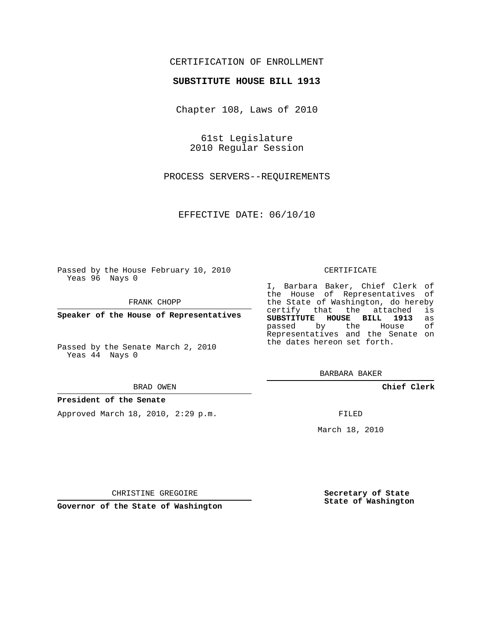# CERTIFICATION OF ENROLLMENT

### **SUBSTITUTE HOUSE BILL 1913**

Chapter 108, Laws of 2010

61st Legislature 2010 Regular Session

PROCESS SERVERS--REQUIREMENTS

EFFECTIVE DATE: 06/10/10

Passed by the House February 10, 2010 Yeas 96 Nays 0

FRANK CHOPP

**Speaker of the House of Representatives**

Passed by the Senate March 2, 2010 Yeas 44 Nays 0

#### BRAD OWEN

#### **President of the Senate**

Approved March 18, 2010, 2:29 p.m.

#### CERTIFICATE

I, Barbara Baker, Chief Clerk of the House of Representatives of the State of Washington, do hereby<br>certify that the attached is certify that the attached **SUBSTITUTE HOUSE BILL 1913** as passed by the Representatives and the Senate on the dates hereon set forth.

BARBARA BAKER

**Chief Clerk**

FILED

March 18, 2010

**Secretary of State State of Washington**

CHRISTINE GREGOIRE

**Governor of the State of Washington**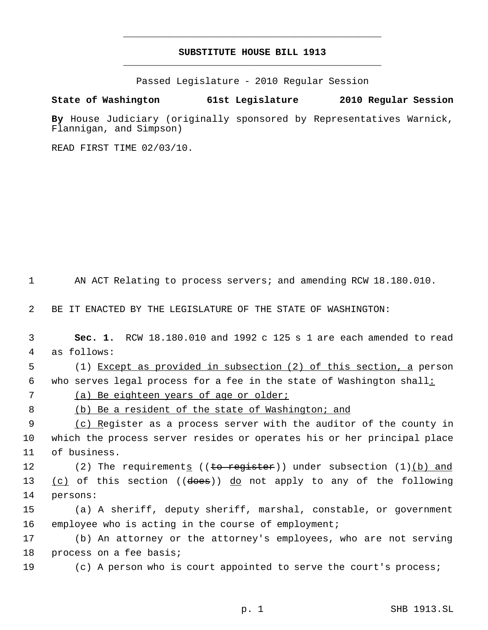# **SUBSTITUTE HOUSE BILL 1913** \_\_\_\_\_\_\_\_\_\_\_\_\_\_\_\_\_\_\_\_\_\_\_\_\_\_\_\_\_\_\_\_\_\_\_\_\_\_\_\_\_\_\_\_\_

\_\_\_\_\_\_\_\_\_\_\_\_\_\_\_\_\_\_\_\_\_\_\_\_\_\_\_\_\_\_\_\_\_\_\_\_\_\_\_\_\_\_\_\_\_

Passed Legislature - 2010 Regular Session

## **State of Washington 61st Legislature 2010 Regular Session**

**By** House Judiciary (originally sponsored by Representatives Warnick, Flannigan, and Simpson)

READ FIRST TIME 02/03/10.

1 AN ACT Relating to process servers; and amending RCW 18.180.010.

2 BE IT ENACTED BY THE LEGISLATURE OF THE STATE OF WASHINGTON:

 3 **Sec. 1.** RCW 18.180.010 and 1992 c 125 s 1 are each amended to read 4 as follows:

 5 (1) Except as provided in subsection (2) of this section, a person 6 who serves legal process for a fee in the state of Washington shall:

7 (a) Be eighteen years of age or older;

8 (b) Be a resident of the state of Washington; and

9 (c) Register as a process server with the auditor of the county in 10 which the process server resides or operates his or her principal place 11 of business.

12 (2) The requirements ((to register)) under subsection (1)(b) and 13  $(c)$  of this section ((does)) do not apply to any of the following 14 persons:

15 (a) A sheriff, deputy sheriff, marshal, constable, or government 16 employee who is acting in the course of employment;

17 (b) An attorney or the attorney's employees, who are not serving 18 process on a fee basis;

19 (c) A person who is court appointed to serve the court's process;